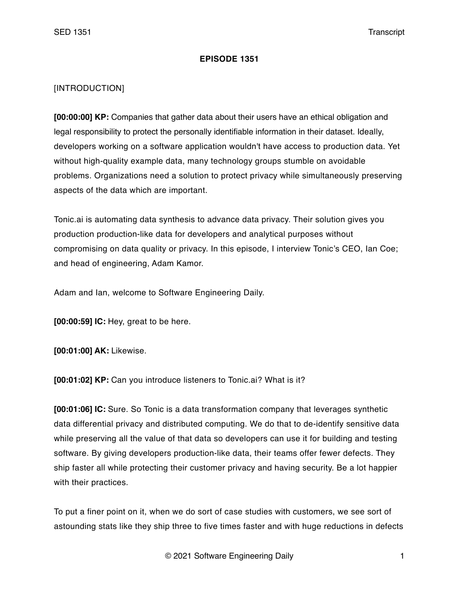## **EPISODE 1351**

## [INTRODUCTION]

**[00:00:00] KP:** Companies that gather data about their users have an ethical obligation and legal responsibility to protect the personally identifiable information in their dataset. Ideally, developers working on a software application wouldn't have access to production data. Yet without high-quality example data, many technology groups stumble on avoidable problems. Organizations need a solution to protect privacy while simultaneously preserving aspects of the data which are important.

Tonic.ai is automating data synthesis to advance data privacy. Their solution gives you production production-like data for developers and analytical purposes without compromising on data quality or privacy. In this episode, I interview Tonic's CEO, Ian Coe; and head of engineering, Adam Kamor.

Adam and Ian, welcome to Software Engineering Daily.

**[00:00:59] IC:** Hey, great to be here.

**[00:01:00] AK:** Likewise.

**[00:01:02] KP:** Can you introduce listeners to Tonic.ai? What is it?

**[00:01:06] IC:** Sure. So Tonic is a data transformation company that leverages synthetic data differential privacy and distributed computing. We do that to de-identify sensitive data while preserving all the value of that data so developers can use it for building and testing software. By giving developers production-like data, their teams offer fewer defects. They ship faster all while protecting their customer privacy and having security. Be a lot happier with their practices.

To put a finer point on it, when we do sort of case studies with customers, we see sort of astounding stats like they ship three to five times faster and with huge reductions in defects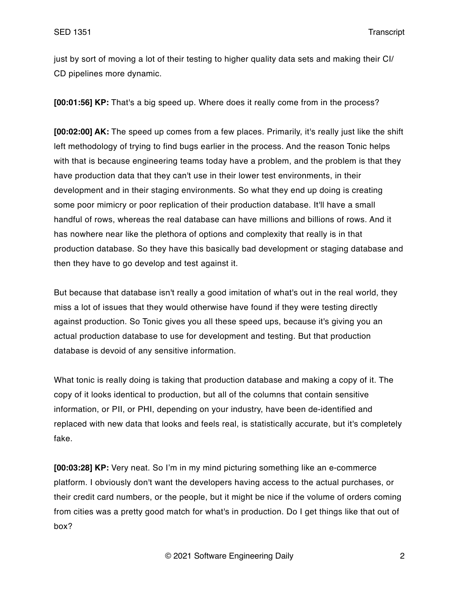just by sort of moving a lot of their testing to higher quality data sets and making their CI/ CD pipelines more dynamic.

**[00:01:56] KP:** That's a big speed up. Where does it really come from in the process?

**[00:02:00] AK:** The speed up comes from a few places. Primarily, it's really just like the shift left methodology of trying to find bugs earlier in the process. And the reason Tonic helps with that is because engineering teams today have a problem, and the problem is that they have production data that they can't use in their lower test environments, in their development and in their staging environments. So what they end up doing is creating some poor mimicry or poor replication of their production database. It'll have a small handful of rows, whereas the real database can have millions and billions of rows. And it has nowhere near like the plethora of options and complexity that really is in that production database. So they have this basically bad development or staging database and then they have to go develop and test against it.

But because that database isn't really a good imitation of what's out in the real world, they miss a lot of issues that they would otherwise have found if they were testing directly against production. So Tonic gives you all these speed ups, because it's giving you an actual production database to use for development and testing. But that production database is devoid of any sensitive information.

What tonic is really doing is taking that production database and making a copy of it. The copy of it looks identical to production, but all of the columns that contain sensitive information, or PII, or PHI, depending on your industry, have been de-identified and replaced with new data that looks and feels real, is statistically accurate, but it's completely fake.

**[00:03:28] KP:** Very neat. So I'm in my mind picturing something like an e-commerce platform. I obviously don't want the developers having access to the actual purchases, or their credit card numbers, or the people, but it might be nice if the volume of orders coming from cities was a pretty good match for what's in production. Do I get things like that out of box?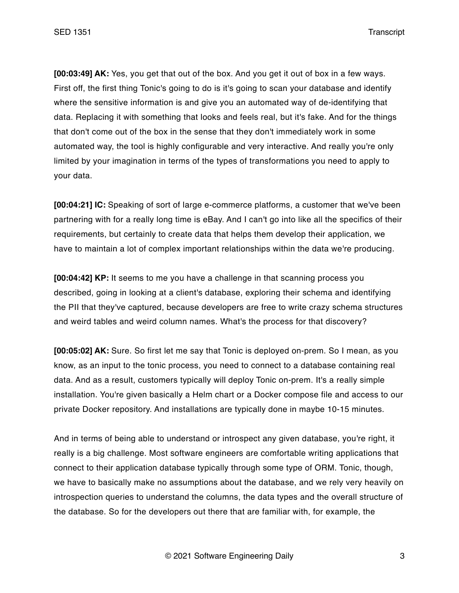**[00:03:49] AK:** Yes, you get that out of the box. And you get it out of box in a few ways. First off, the first thing Tonic's going to do is it's going to scan your database and identify where the sensitive information is and give you an automated way of de-identifying that data. Replacing it with something that looks and feels real, but it's fake. And for the things that don't come out of the box in the sense that they don't immediately work in some automated way, the tool is highly configurable and very interactive. And really you're only limited by your imagination in terms of the types of transformations you need to apply to your data.

**[00:04:21] IC:** Speaking of sort of large e-commerce platforms, a customer that we've been partnering with for a really long time is eBay. And I can't go into like all the specifics of their requirements, but certainly to create data that helps them develop their application, we have to maintain a lot of complex important relationships within the data we're producing.

**[00:04:42] KP:** It seems to me you have a challenge in that scanning process you described, going in looking at a client's database, exploring their schema and identifying the PII that they've captured, because developers are free to write crazy schema structures and weird tables and weird column names. What's the process for that discovery?

**[00:05:02] AK:** Sure. So first let me say that Tonic is deployed on-prem. So I mean, as you know, as an input to the tonic process, you need to connect to a database containing real data. And as a result, customers typically will deploy Tonic on-prem. It's a really simple installation. You're given basically a Helm chart or a Docker compose file and access to our private Docker repository. And installations are typically done in maybe 10-15 minutes.

And in terms of being able to understand or introspect any given database, you're right, it really is a big challenge. Most software engineers are comfortable writing applications that connect to their application database typically through some type of ORM. Tonic, though, we have to basically make no assumptions about the database, and we rely very heavily on introspection queries to understand the columns, the data types and the overall structure of the database. So for the developers out there that are familiar with, for example, the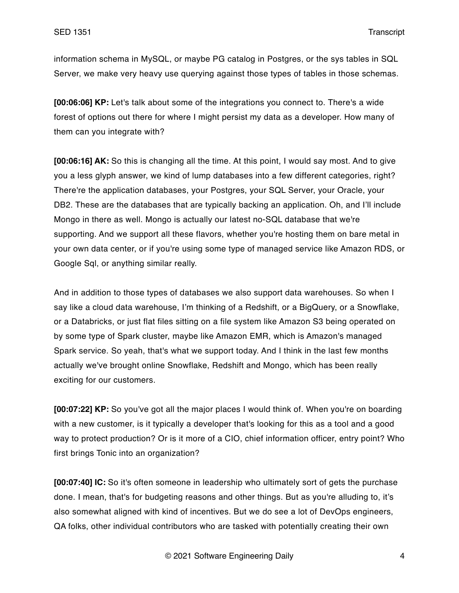information schema in MySQL, or maybe PG catalog in Postgres, or the sys tables in SQL Server, we make very heavy use querying against those types of tables in those schemas.

**[00:06:06] KP:** Let's talk about some of the integrations you connect to. There's a wide forest of options out there for where I might persist my data as a developer. How many of them can you integrate with?

**[00:06:16] AK:** So this is changing all the time. At this point, I would say most. And to give you a less glyph answer, we kind of lump databases into a few different categories, right? There're the application databases, your Postgres, your SQL Server, your Oracle, your DB2. These are the databases that are typically backing an application. Oh, and I'll include Mongo in there as well. Mongo is actually our latest no-SQL database that we're supporting. And we support all these flavors, whether you're hosting them on bare metal in your own data center, or if you're using some type of managed service like Amazon RDS, or Google Sql, or anything similar really.

And in addition to those types of databases we also support data warehouses. So when I say like a cloud data warehouse, I'm thinking of a Redshift, or a BigQuery, or a Snowflake, or a Databricks, or just flat files sitting on a file system like Amazon S3 being operated on by some type of Spark cluster, maybe like Amazon EMR, which is Amazon's managed Spark service. So yeah, that's what we support today. And I think in the last few months actually we've brought online Snowflake, Redshift and Mongo, which has been really exciting for our customers.

**[00:07:22] KP:** So you've got all the major places I would think of. When you're on boarding with a new customer, is it typically a developer that's looking for this as a tool and a good way to protect production? Or is it more of a CIO, chief information officer, entry point? Who first brings Tonic into an organization?

**[00:07:40] IC:** So it's often someone in leadership who ultimately sort of gets the purchase done. I mean, that's for budgeting reasons and other things. But as you're alluding to, it's also somewhat aligned with kind of incentives. But we do see a lot of DevOps engineers, QA folks, other individual contributors who are tasked with potentially creating their own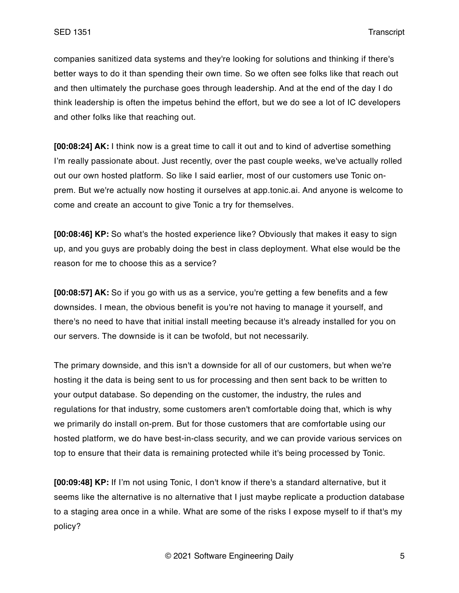companies sanitized data systems and they're looking for solutions and thinking if there's better ways to do it than spending their own time. So we often see folks like that reach out and then ultimately the purchase goes through leadership. And at the end of the day I do think leadership is often the impetus behind the effort, but we do see a lot of IC developers and other folks like that reaching out.

**[00:08:24] AK:** I think now is a great time to call it out and to kind of advertise something I'm really passionate about. Just recently, over the past couple weeks, we've actually rolled out our own hosted platform. So like I said earlier, most of our customers use Tonic onprem. But we're actually now hosting it ourselves at app.tonic.ai. And anyone is welcome to come and create an account to give Tonic a try for themselves.

**[00:08:46] KP:** So what's the hosted experience like? Obviously that makes it easy to sign up, and you guys are probably doing the best in class deployment. What else would be the reason for me to choose this as a service?

**[00:08:57] AK:** So if you go with us as a service, you're getting a few benefits and a few downsides. I mean, the obvious benefit is you're not having to manage it yourself, and there's no need to have that initial install meeting because it's already installed for you on our servers. The downside is it can be twofold, but not necessarily.

The primary downside, and this isn't a downside for all of our customers, but when we're hosting it the data is being sent to us for processing and then sent back to be written to your output database. So depending on the customer, the industry, the rules and regulations for that industry, some customers aren't comfortable doing that, which is why we primarily do install on-prem. But for those customers that are comfortable using our hosted platform, we do have best-in-class security, and we can provide various services on top to ensure that their data is remaining protected while it's being processed by Tonic.

**[00:09:48] KP:** If I'm not using Tonic, I don't know if there's a standard alternative, but it seems like the alternative is no alternative that I just maybe replicate a production database to a staging area once in a while. What are some of the risks I expose myself to if that's my policy?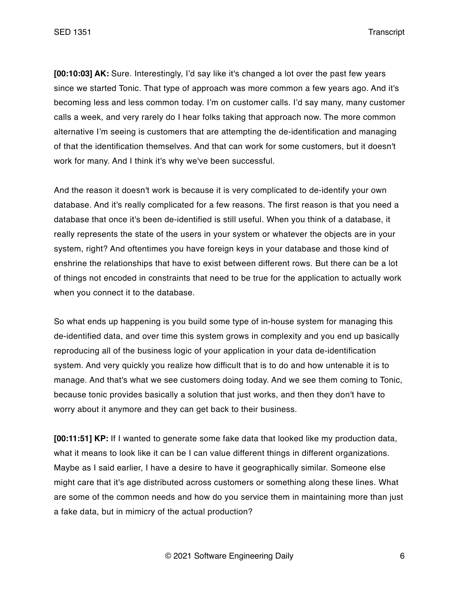SED 1351 Transcript

**[00:10:03] AK:** Sure. Interestingly, I'd say like it's changed a lot over the past few years since we started Tonic. That type of approach was more common a few years ago. And it's becoming less and less common today. I'm on customer calls. I'd say many, many customer calls a week, and very rarely do I hear folks taking that approach now. The more common alternative I'm seeing is customers that are attempting the de-identification and managing of that the identification themselves. And that can work for some customers, but it doesn't work for many. And I think it's why we've been successful.

And the reason it doesn't work is because it is very complicated to de-identify your own database. And it's really complicated for a few reasons. The first reason is that you need a database that once it's been de-identified is still useful. When you think of a database, it really represents the state of the users in your system or whatever the objects are in your system, right? And oftentimes you have foreign keys in your database and those kind of enshrine the relationships that have to exist between different rows. But there can be a lot of things not encoded in constraints that need to be true for the application to actually work when you connect it to the database.

So what ends up happening is you build some type of in-house system for managing this de-identified data, and over time this system grows in complexity and you end up basically reproducing all of the business logic of your application in your data de-identification system. And very quickly you realize how difficult that is to do and how untenable it is to manage. And that's what we see customers doing today. And we see them coming to Tonic, because tonic provides basically a solution that just works, and then they don't have to worry about it anymore and they can get back to their business.

**[00:11:51] KP:** If I wanted to generate some fake data that looked like my production data, what it means to look like it can be I can value different things in different organizations. Maybe as I said earlier, I have a desire to have it geographically similar. Someone else might care that it's age distributed across customers or something along these lines. What are some of the common needs and how do you service them in maintaining more than just a fake data, but in mimicry of the actual production?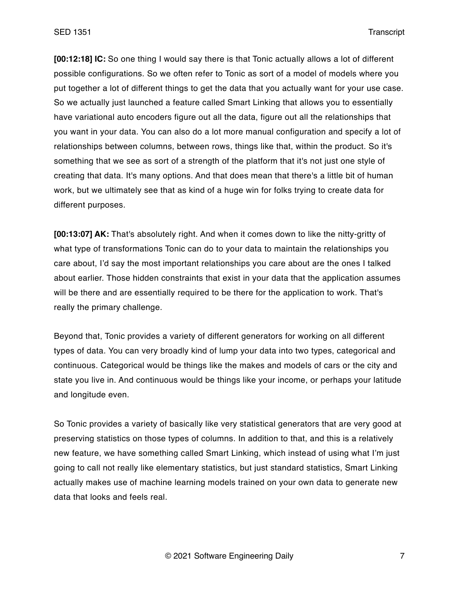SED 1351 Transcript

**[00:12:18] IC:** So one thing I would say there is that Tonic actually allows a lot of different possible configurations. So we often refer to Tonic as sort of a model of models where you put together a lot of different things to get the data that you actually want for your use case. So we actually just launched a feature called Smart Linking that allows you to essentially have variational auto encoders figure out all the data, figure out all the relationships that you want in your data. You can also do a lot more manual configuration and specify a lot of relationships between columns, between rows, things like that, within the product. So it's something that we see as sort of a strength of the platform that it's not just one style of creating that data. It's many options. And that does mean that there's a little bit of human work, but we ultimately see that as kind of a huge win for folks trying to create data for different purposes.

**[00:13:07] AK:** That's absolutely right. And when it comes down to like the nitty-gritty of what type of transformations Tonic can do to your data to maintain the relationships you care about, I'd say the most important relationships you care about are the ones I talked about earlier. Those hidden constraints that exist in your data that the application assumes will be there and are essentially required to be there for the application to work. That's really the primary challenge.

Beyond that, Tonic provides a variety of different generators for working on all different types of data. You can very broadly kind of lump your data into two types, categorical and continuous. Categorical would be things like the makes and models of cars or the city and state you live in. And continuous would be things like your income, or perhaps your latitude and longitude even.

So Tonic provides a variety of basically like very statistical generators that are very good at preserving statistics on those types of columns. In addition to that, and this is a relatively new feature, we have something called Smart Linking, which instead of using what I'm just going to call not really like elementary statistics, but just standard statistics, Smart Linking actually makes use of machine learning models trained on your own data to generate new data that looks and feels real.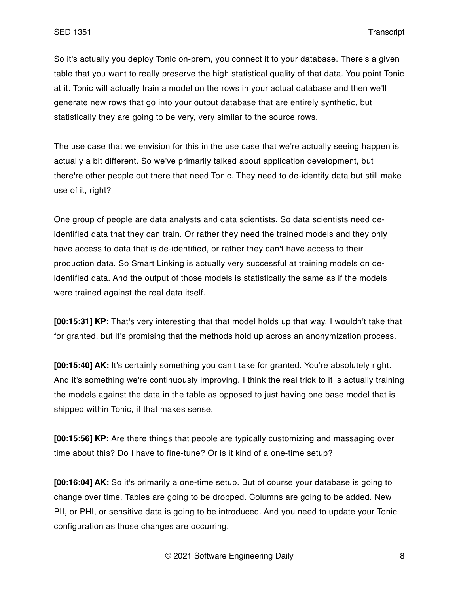So it's actually you deploy Tonic on-prem, you connect it to your database. There's a given table that you want to really preserve the high statistical quality of that data. You point Tonic at it. Tonic will actually train a model on the rows in your actual database and then we'll generate new rows that go into your output database that are entirely synthetic, but statistically they are going to be very, very similar to the source rows.

The use case that we envision for this in the use case that we're actually seeing happen is actually a bit different. So we've primarily talked about application development, but there're other people out there that need Tonic. They need to de-identify data but still make use of it, right?

One group of people are data analysts and data scientists. So data scientists need deidentified data that they can train. Or rather they need the trained models and they only have access to data that is de-identified, or rather they can't have access to their production data. So Smart Linking is actually very successful at training models on deidentified data. And the output of those models is statistically the same as if the models were trained against the real data itself.

**[00:15:31] KP:** That's very interesting that that model holds up that way. I wouldn't take that for granted, but it's promising that the methods hold up across an anonymization process.

**[00:15:40] AK:** It's certainly something you can't take for granted. You're absolutely right. And it's something we're continuously improving. I think the real trick to it is actually training the models against the data in the table as opposed to just having one base model that is shipped within Tonic, if that makes sense.

**[00:15:56] KP:** Are there things that people are typically customizing and massaging over time about this? Do I have to fine-tune? Or is it kind of a one-time setup?

**[00:16:04] AK:** So it's primarily a one-time setup. But of course your database is going to change over time. Tables are going to be dropped. Columns are going to be added. New PII, or PHI, or sensitive data is going to be introduced. And you need to update your Tonic configuration as those changes are occurring.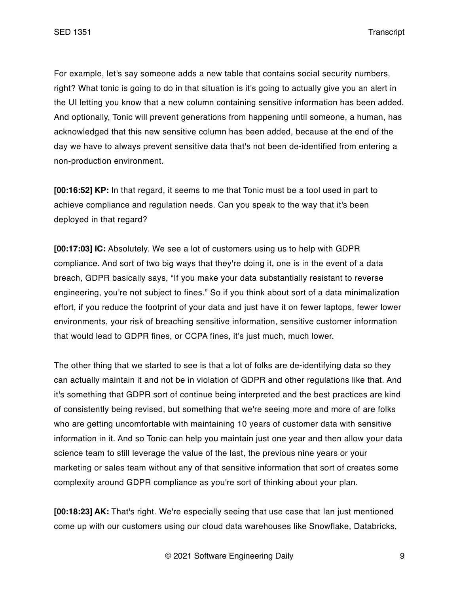For example, let's say someone adds a new table that contains social security numbers, right? What tonic is going to do in that situation is it's going to actually give you an alert in the UI letting you know that a new column containing sensitive information has been added. And optionally, Tonic will prevent generations from happening until someone, a human, has acknowledged that this new sensitive column has been added, because at the end of the day we have to always prevent sensitive data that's not been de-identified from entering a non-production environment.

**[00:16:52] KP:** In that regard, it seems to me that Tonic must be a tool used in part to achieve compliance and regulation needs. Can you speak to the way that it's been deployed in that regard?

**[00:17:03] IC:** Absolutely. We see a lot of customers using us to help with GDPR compliance. And sort of two big ways that they're doing it, one is in the event of a data breach, GDPR basically says, "If you make your data substantially resistant to reverse engineering, you're not subject to fines." So if you think about sort of a data minimalization effort, if you reduce the footprint of your data and just have it on fewer laptops, fewer lower environments, your risk of breaching sensitive information, sensitive customer information that would lead to GDPR fines, or CCPA fines, it's just much, much lower.

The other thing that we started to see is that a lot of folks are de-identifying data so they can actually maintain it and not be in violation of GDPR and other regulations like that. And it's something that GDPR sort of continue being interpreted and the best practices are kind of consistently being revised, but something that we're seeing more and more of are folks who are getting uncomfortable with maintaining 10 years of customer data with sensitive information in it. And so Tonic can help you maintain just one year and then allow your data science team to still leverage the value of the last, the previous nine years or your marketing or sales team without any of that sensitive information that sort of creates some complexity around GDPR compliance as you're sort of thinking about your plan.

**[00:18:23] AK:** That's right. We're especially seeing that use case that Ian just mentioned come up with our customers using our cloud data warehouses like Snowflake, Databricks,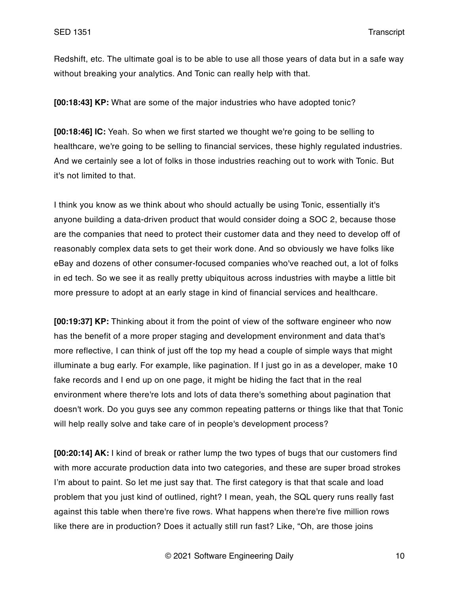Redshift, etc. The ultimate goal is to be able to use all those years of data but in a safe way without breaking your analytics. And Tonic can really help with that.

**[00:18:43] KP:** What are some of the major industries who have adopted tonic?

**[00:18:46] IC:** Yeah. So when we first started we thought we're going to be selling to healthcare, we're going to be selling to financial services, these highly regulated industries. And we certainly see a lot of folks in those industries reaching out to work with Tonic. But it's not limited to that.

I think you know as we think about who should actually be using Tonic, essentially it's anyone building a data-driven product that would consider doing a SOC 2, because those are the companies that need to protect their customer data and they need to develop off of reasonably complex data sets to get their work done. And so obviously we have folks like eBay and dozens of other consumer-focused companies who've reached out, a lot of folks in ed tech. So we see it as really pretty ubiquitous across industries with maybe a little bit more pressure to adopt at an early stage in kind of financial services and healthcare.

**[00:19:37] KP:** Thinking about it from the point of view of the software engineer who now has the benefit of a more proper staging and development environment and data that's more reflective, I can think of just off the top my head a couple of simple ways that might illuminate a bug early. For example, like pagination. If I just go in as a developer, make 10 fake records and I end up on one page, it might be hiding the fact that in the real environment where there're lots and lots of data there's something about pagination that doesn't work. Do you guys see any common repeating patterns or things like that that Tonic will help really solve and take care of in people's development process?

**[00:20:14] AK:** I kind of break or rather lump the two types of bugs that our customers find with more accurate production data into two categories, and these are super broad strokes I'm about to paint. So let me just say that. The first category is that that scale and load problem that you just kind of outlined, right? I mean, yeah, the SQL query runs really fast against this table when there're five rows. What happens when there're five million rows like there are in production? Does it actually still run fast? Like, "Oh, are those joins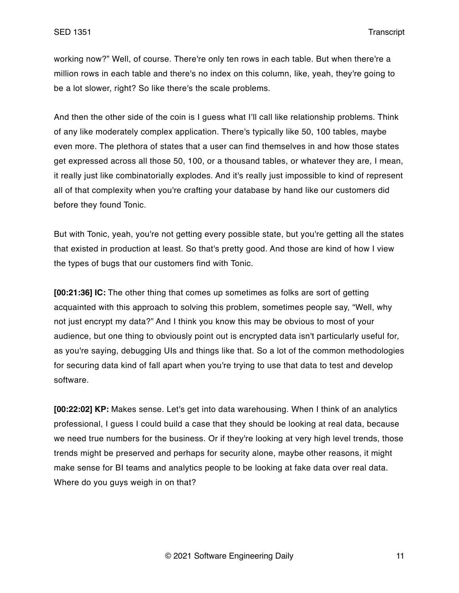working now?" Well, of course. There're only ten rows in each table. But when there're a million rows in each table and there's no index on this column, like, yeah, they're going to be a lot slower, right? So like there's the scale problems.

And then the other side of the coin is I guess what I'll call like relationship problems. Think of any like moderately complex application. There's typically like 50, 100 tables, maybe even more. The plethora of states that a user can find themselves in and how those states get expressed across all those 50, 100, or a thousand tables, or whatever they are, I mean, it really just like combinatorially explodes. And it's really just impossible to kind of represent all of that complexity when you're crafting your database by hand like our customers did before they found Tonic.

But with Tonic, yeah, you're not getting every possible state, but you're getting all the states that existed in production at least. So that's pretty good. And those are kind of how I view the types of bugs that our customers find with Tonic.

**[00:21:36] IC:** The other thing that comes up sometimes as folks are sort of getting acquainted with this approach to solving this problem, sometimes people say, "Well, why not just encrypt my data?" And I think you know this may be obvious to most of your audience, but one thing to obviously point out is encrypted data isn't particularly useful for, as you're saying, debugging UIs and things like that. So a lot of the common methodologies for securing data kind of fall apart when you're trying to use that data to test and develop software.

**[00:22:02] KP:** Makes sense. Let's get into data warehousing. When I think of an analytics professional, I guess I could build a case that they should be looking at real data, because we need true numbers for the business. Or if they're looking at very high level trends, those trends might be preserved and perhaps for security alone, maybe other reasons, it might make sense for BI teams and analytics people to be looking at fake data over real data. Where do you guys weigh in on that?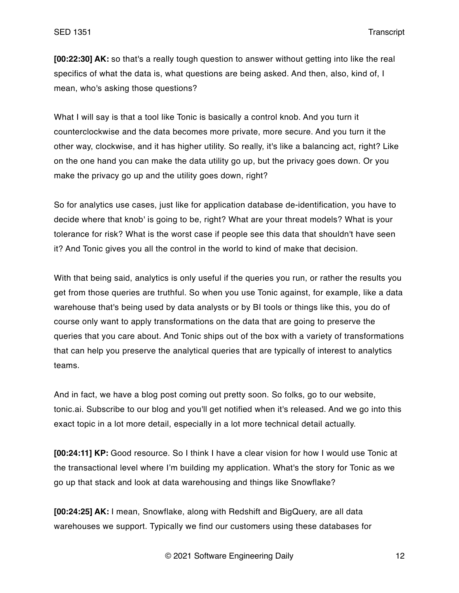**[00:22:30] AK:** so that's a really tough question to answer without getting into like the real specifics of what the data is, what questions are being asked. And then, also, kind of, I mean, who's asking those questions?

What I will say is that a tool like Tonic is basically a control knob. And you turn it counterclockwise and the data becomes more private, more secure. And you turn it the other way, clockwise, and it has higher utility. So really, it's like a balancing act, right? Like on the one hand you can make the data utility go up, but the privacy goes down. Or you make the privacy go up and the utility goes down, right?

So for analytics use cases, just like for application database de-identification, you have to decide where that knob' is going to be, right? What are your threat models? What is your tolerance for risk? What is the worst case if people see this data that shouldn't have seen it? And Tonic gives you all the control in the world to kind of make that decision.

With that being said, analytics is only useful if the queries you run, or rather the results you get from those queries are truthful. So when you use Tonic against, for example, like a data warehouse that's being used by data analysts or by BI tools or things like this, you do of course only want to apply transformations on the data that are going to preserve the queries that you care about. And Tonic ships out of the box with a variety of transformations that can help you preserve the analytical queries that are typically of interest to analytics teams.

And in fact, we have a blog post coming out pretty soon. So folks, go to our website, tonic.ai. Subscribe to our blog and you'll get notified when it's released. And we go into this exact topic in a lot more detail, especially in a lot more technical detail actually.

**[00:24:11] KP:** Good resource. So I think I have a clear vision for how I would use Tonic at the transactional level where I'm building my application. What's the story for Tonic as we go up that stack and look at data warehousing and things like Snowflake?

**[00:24:25] AK:** I mean, Snowflake, along with Redshift and BigQuery, are all data warehouses we support. Typically we find our customers using these databases for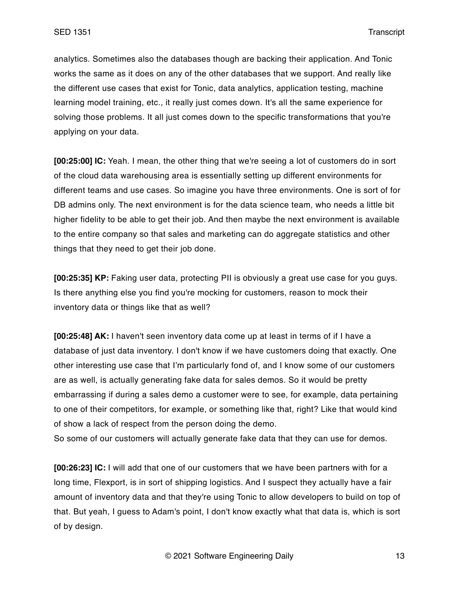analytics. Sometimes also the databases though are backing their application. And Tonic works the same as it does on any of the other databases that we support. And really like the different use cases that exist for Tonic, data analytics, application testing, machine learning model training, etc., it really just comes down. It's all the same experience for solving those problems. It all just comes down to the specific transformations that you're applying on your data.

**[00:25:00] IC:** Yeah. I mean, the other thing that we're seeing a lot of customers do in sort of the cloud data warehousing area is essentially setting up different environments for different teams and use cases. So imagine you have three environments. One is sort of for DB admins only. The next environment is for the data science team, who needs a little bit higher fidelity to be able to get their job. And then maybe the next environment is available to the entire company so that sales and marketing can do aggregate statistics and other things that they need to get their job done.

**[00:25:35] KP:** Faking user data, protecting PII is obviously a great use case for you guys. Is there anything else you find you're mocking for customers, reason to mock their inventory data or things like that as well?

**[00:25:48] AK:** I haven't seen inventory data come up at least in terms of if I have a database of just data inventory. I don't know if we have customers doing that exactly. One other interesting use case that I'm particularly fond of, and I know some of our customers are as well, is actually generating fake data for sales demos. So it would be pretty embarrassing if during a sales demo a customer were to see, for example, data pertaining to one of their competitors, for example, or something like that, right? Like that would kind of show a lack of respect from the person doing the demo.

So some of our customers will actually generate fake data that they can use for demos.

**[00:26:23] IC:** I will add that one of our customers that we have been partners with for a long time, Flexport, is in sort of shipping logistics. And I suspect they actually have a fair amount of inventory data and that they're using Tonic to allow developers to build on top of that. But yeah, I guess to Adam's point, I don't know exactly what that data is, which is sort of by design.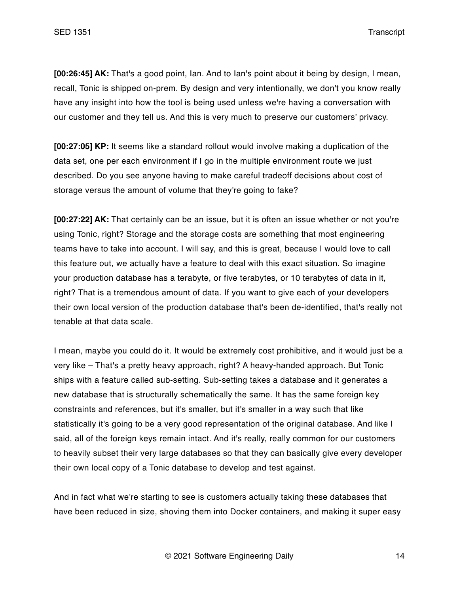**[00:26:45] AK:** That's a good point, Ian. And to Ian's point about it being by design, I mean, recall, Tonic is shipped on-prem. By design and very intentionally, we don't you know really have any insight into how the tool is being used unless we're having a conversation with our customer and they tell us. And this is very much to preserve our customers' privacy.

**[00:27:05] KP:** It seems like a standard rollout would involve making a duplication of the data set, one per each environment if I go in the multiple environment route we just described. Do you see anyone having to make careful tradeoff decisions about cost of storage versus the amount of volume that they're going to fake?

**[00:27:22] AK:** That certainly can be an issue, but it is often an issue whether or not you're using Tonic, right? Storage and the storage costs are something that most engineering teams have to take into account. I will say, and this is great, because I would love to call this feature out, we actually have a feature to deal with this exact situation. So imagine your production database has a terabyte, or five terabytes, or 10 terabytes of data in it, right? That is a tremendous amount of data. If you want to give each of your developers their own local version of the production database that's been de-identified, that's really not tenable at that data scale.

I mean, maybe you could do it. It would be extremely cost prohibitive, and it would just be a very like – That's a pretty heavy approach, right? A heavy-handed approach. But Tonic ships with a feature called sub-setting. Sub-setting takes a database and it generates a new database that is structurally schematically the same. It has the same foreign key constraints and references, but it's smaller, but it's smaller in a way such that like statistically it's going to be a very good representation of the original database. And like I said, all of the foreign keys remain intact. And it's really, really common for our customers to heavily subset their very large databases so that they can basically give every developer their own local copy of a Tonic database to develop and test against.

And in fact what we're starting to see is customers actually taking these databases that have been reduced in size, shoving them into Docker containers, and making it super easy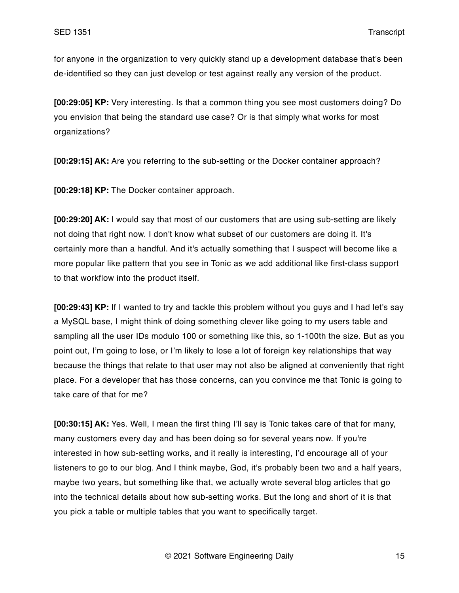for anyone in the organization to very quickly stand up a development database that's been de-identified so they can just develop or test against really any version of the product.

**[00:29:05] KP:** Very interesting. Is that a common thing you see most customers doing? Do you envision that being the standard use case? Or is that simply what works for most organizations?

**[00:29:15] AK:** Are you referring to the sub-setting or the Docker container approach?

**[00:29:18] KP:** The Docker container approach.

**[00:29:20] AK:** I would say that most of our customers that are using sub-setting are likely not doing that right now. I don't know what subset of our customers are doing it. It's certainly more than a handful. And it's actually something that I suspect will become like a more popular like pattern that you see in Tonic as we add additional like first-class support to that workflow into the product itself.

**[00:29:43] KP:** If I wanted to try and tackle this problem without you guys and I had let's say a MySQL base, I might think of doing something clever like going to my users table and sampling all the user IDs modulo 100 or something like this, so 1-100th the size. But as you point out, I'm going to lose, or I'm likely to lose a lot of foreign key relationships that way because the things that relate to that user may not also be aligned at conveniently that right place. For a developer that has those concerns, can you convince me that Tonic is going to take care of that for me?

**[00:30:15] AK:** Yes. Well, I mean the first thing I'll say is Tonic takes care of that for many, many customers every day and has been doing so for several years now. If you're interested in how sub-setting works, and it really is interesting, I'd encourage all of your listeners to go to our blog. And I think maybe, God, it's probably been two and a half years, maybe two years, but something like that, we actually wrote several blog articles that go into the technical details about how sub-setting works. But the long and short of it is that you pick a table or multiple tables that you want to specifically target.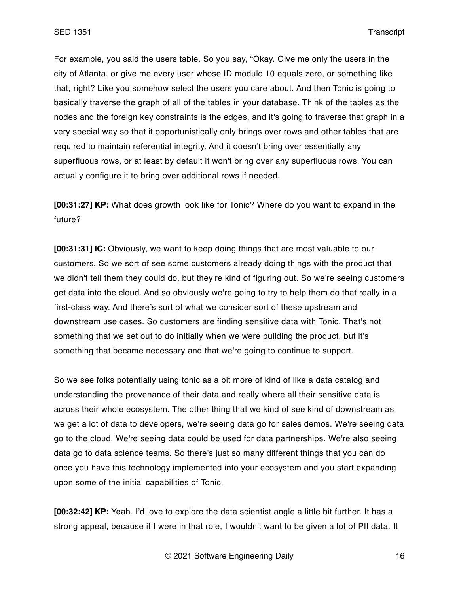For example, you said the users table. So you say, "Okay. Give me only the users in the city of Atlanta, or give me every user whose ID modulo 10 equals zero, or something like that, right? Like you somehow select the users you care about. And then Tonic is going to basically traverse the graph of all of the tables in your database. Think of the tables as the nodes and the foreign key constraints is the edges, and it's going to traverse that graph in a very special way so that it opportunistically only brings over rows and other tables that are required to maintain referential integrity. And it doesn't bring over essentially any superfluous rows, or at least by default it won't bring over any superfluous rows. You can actually configure it to bring over additional rows if needed.

**[00:31:27] KP:** What does growth look like for Tonic? Where do you want to expand in the future?

**[00:31:31] IC:** Obviously, we want to keep doing things that are most valuable to our customers. So we sort of see some customers already doing things with the product that we didn't tell them they could do, but they're kind of figuring out. So we're seeing customers get data into the cloud. And so obviously we're going to try to help them do that really in a first-class way. And there's sort of what we consider sort of these upstream and downstream use cases. So customers are finding sensitive data with Tonic. That's not something that we set out to do initially when we were building the product, but it's something that became necessary and that we're going to continue to support.

So we see folks potentially using tonic as a bit more of kind of like a data catalog and understanding the provenance of their data and really where all their sensitive data is across their whole ecosystem. The other thing that we kind of see kind of downstream as we get a lot of data to developers, we're seeing data go for sales demos. We're seeing data go to the cloud. We're seeing data could be used for data partnerships. We're also seeing data go to data science teams. So there's just so many different things that you can do once you have this technology implemented into your ecosystem and you start expanding upon some of the initial capabilities of Tonic.

**[00:32:42] KP:** Yeah. I'd love to explore the data scientist angle a little bit further. It has a strong appeal, because if I were in that role, I wouldn't want to be given a lot of PII data. It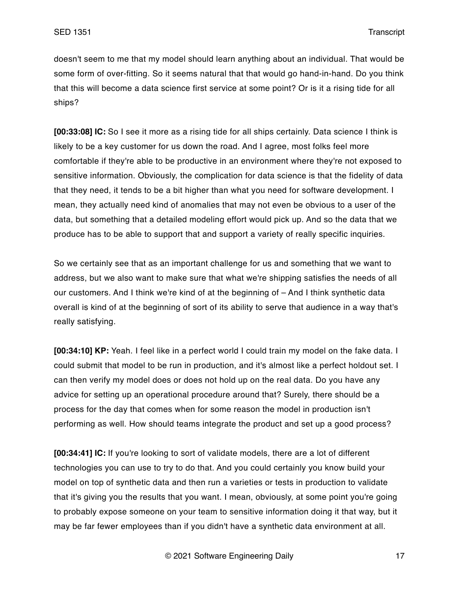doesn't seem to me that my model should learn anything about an individual. That would be some form of over-fitting. So it seems natural that that would go hand-in-hand. Do you think that this will become a data science first service at some point? Or is it a rising tide for all ships?

**[00:33:08] IC:** So I see it more as a rising tide for all ships certainly. Data science I think is likely to be a key customer for us down the road. And I agree, most folks feel more comfortable if they're able to be productive in an environment where they're not exposed to sensitive information. Obviously, the complication for data science is that the fidelity of data that they need, it tends to be a bit higher than what you need for software development. I mean, they actually need kind of anomalies that may not even be obvious to a user of the data, but something that a detailed modeling effort would pick up. And so the data that we produce has to be able to support that and support a variety of really specific inquiries.

So we certainly see that as an important challenge for us and something that we want to address, but we also want to make sure that what we're shipping satisfies the needs of all our customers. And I think we're kind of at the beginning of – And I think synthetic data overall is kind of at the beginning of sort of its ability to serve that audience in a way that's really satisfying.

**[00:34:10] KP:** Yeah. I feel like in a perfect world I could train my model on the fake data. I could submit that model to be run in production, and it's almost like a perfect holdout set. I can then verify my model does or does not hold up on the real data. Do you have any advice for setting up an operational procedure around that? Surely, there should be a process for the day that comes when for some reason the model in production isn't performing as well. How should teams integrate the product and set up a good process?

**[00:34:41] IC:** If you're looking to sort of validate models, there are a lot of different technologies you can use to try to do that. And you could certainly you know build your model on top of synthetic data and then run a varieties or tests in production to validate that it's giving you the results that you want. I mean, obviously, at some point you're going to probably expose someone on your team to sensitive information doing it that way, but it may be far fewer employees than if you didn't have a synthetic data environment at all.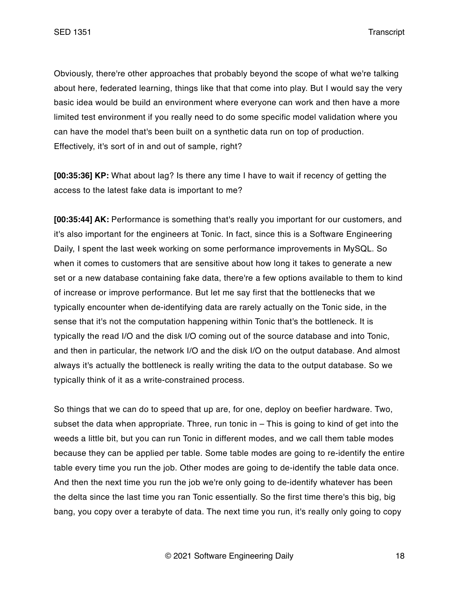Obviously, there're other approaches that probably beyond the scope of what we're talking about here, federated learning, things like that that come into play. But I would say the very basic idea would be build an environment where everyone can work and then have a more limited test environment if you really need to do some specific model validation where you can have the model that's been built on a synthetic data run on top of production. Effectively, it's sort of in and out of sample, right?

**[00:35:36] KP:** What about lag? Is there any time I have to wait if recency of getting the access to the latest fake data is important to me?

**[00:35:44] AK:** Performance is something that's really you important for our customers, and it's also important for the engineers at Tonic. In fact, since this is a Software Engineering Daily, I spent the last week working on some performance improvements in MySQL. So when it comes to customers that are sensitive about how long it takes to generate a new set or a new database containing fake data, there're a few options available to them to kind of increase or improve performance. But let me say first that the bottlenecks that we typically encounter when de-identifying data are rarely actually on the Tonic side, in the sense that it's not the computation happening within Tonic that's the bottleneck. It is typically the read I/O and the disk I/O coming out of the source database and into Tonic, and then in particular, the network I/O and the disk I/O on the output database. And almost always it's actually the bottleneck is really writing the data to the output database. So we typically think of it as a write-constrained process.

So things that we can do to speed that up are, for one, deploy on beefier hardware. Two, subset the data when appropriate. Three, run tonic in – This is going to kind of get into the weeds a little bit, but you can run Tonic in different modes, and we call them table modes because they can be applied per table. Some table modes are going to re-identify the entire table every time you run the job. Other modes are going to de-identify the table data once. And then the next time you run the job we're only going to de-identify whatever has been the delta since the last time you ran Tonic essentially. So the first time there's this big, big bang, you copy over a terabyte of data. The next time you run, it's really only going to copy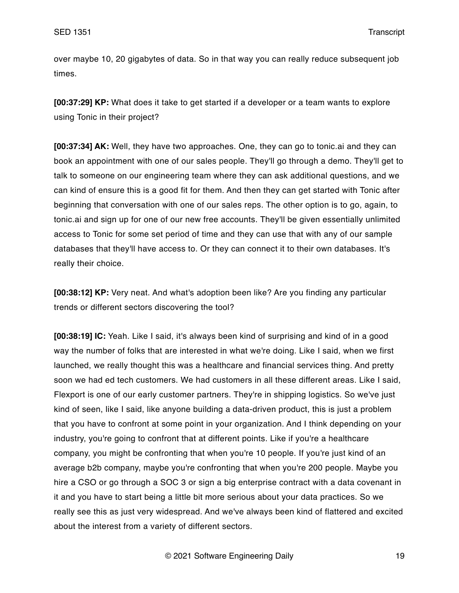over maybe 10, 20 gigabytes of data. So in that way you can really reduce subsequent job times.

**[00:37:29] KP:** What does it take to get started if a developer or a team wants to explore using Tonic in their project?

**[00:37:34] AK:** Well, they have two approaches. One, they can go to tonic.ai and they can book an appointment with one of our sales people. They'll go through a demo. They'll get to talk to someone on our engineering team where they can ask additional questions, and we can kind of ensure this is a good fit for them. And then they can get started with Tonic after beginning that conversation with one of our sales reps. The other option is to go, again, to tonic.ai and sign up for one of our new free accounts. They'll be given essentially unlimited access to Tonic for some set period of time and they can use that with any of our sample databases that they'll have access to. Or they can connect it to their own databases. It's really their choice.

**[00:38:12] KP:** Very neat. And what's adoption been like? Are you finding any particular trends or different sectors discovering the tool?

**[00:38:19] IC:** Yeah. Like I said, it's always been kind of surprising and kind of in a good way the number of folks that are interested in what we're doing. Like I said, when we first launched, we really thought this was a healthcare and financial services thing. And pretty soon we had ed tech customers. We had customers in all these different areas. Like I said, Flexport is one of our early customer partners. They're in shipping logistics. So we've just kind of seen, like I said, like anyone building a data-driven product, this is just a problem that you have to confront at some point in your organization. And I think depending on your industry, you're going to confront that at different points. Like if you're a healthcare company, you might be confronting that when you're 10 people. If you're just kind of an average b2b company, maybe you're confronting that when you're 200 people. Maybe you hire a CSO or go through a SOC 3 or sign a big enterprise contract with a data covenant in it and you have to start being a little bit more serious about your data practices. So we really see this as just very widespread. And we've always been kind of flattered and excited about the interest from a variety of different sectors.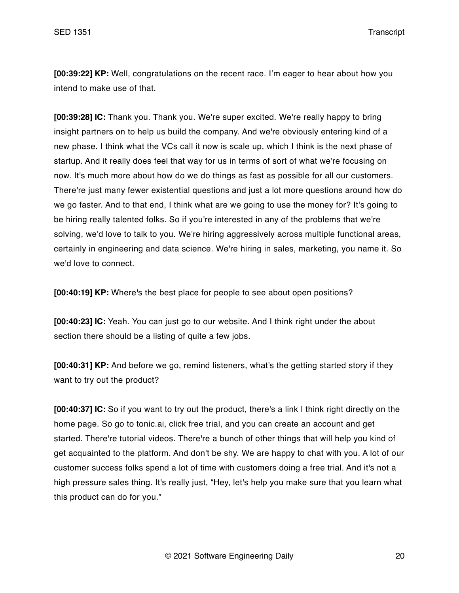**[00:39:22] KP:** Well, congratulations on the recent race. I'm eager to hear about how you intend to make use of that.

**[00:39:28] IC:** Thank you. Thank you. We're super excited. We're really happy to bring insight partners on to help us build the company. And we're obviously entering kind of a new phase. I think what the VCs call it now is scale up, which I think is the next phase of startup. And it really does feel that way for us in terms of sort of what we're focusing on now. It's much more about how do we do things as fast as possible for all our customers. There're just many fewer existential questions and just a lot more questions around how do we go faster. And to that end, I think what are we going to use the money for? It's going to be hiring really talented folks. So if you're interested in any of the problems that we're solving, we'd love to talk to you. We're hiring aggressively across multiple functional areas, certainly in engineering and data science. We're hiring in sales, marketing, you name it. So we'd love to connect.

**[00:40:19] KP:** Where's the best place for people to see about open positions?

**[00:40:23] IC:** Yeah. You can just go to our website. And I think right under the about section there should be a listing of quite a few jobs.

**[00:40:31] KP:** And before we go, remind listeners, what's the getting started story if they want to try out the product?

**[00:40:37] IC:** So if you want to try out the product, there's a link I think right directly on the home page. So go to tonic.ai, click free trial, and you can create an account and get started. There're tutorial videos. There're a bunch of other things that will help you kind of get acquainted to the platform. And don't be shy. We are happy to chat with you. A lot of our customer success folks spend a lot of time with customers doing a free trial. And it's not a high pressure sales thing. It's really just, "Hey, let's help you make sure that you learn what this product can do for you."